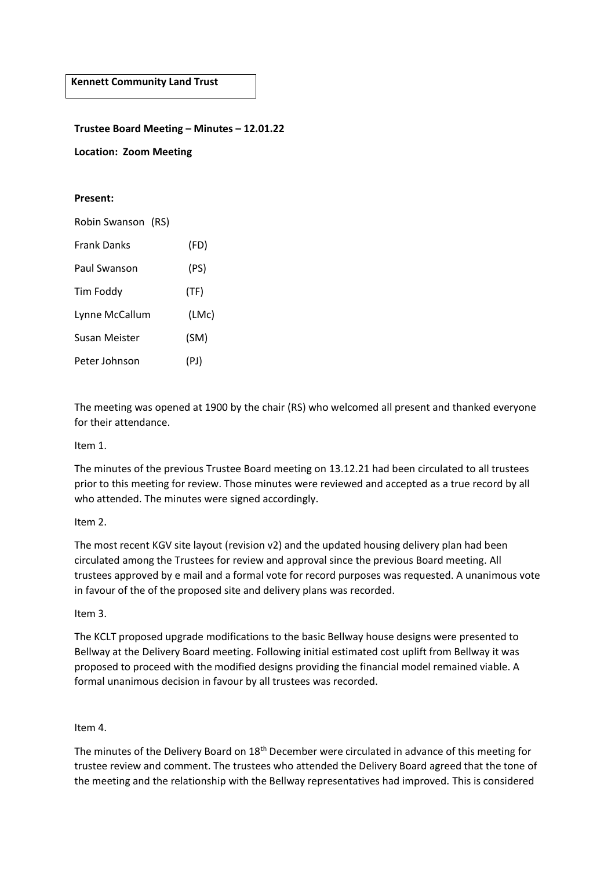**Kennett Community Land Trust**

**Trustee Board Meeting – Minutes – 12.01.22**

**Location: Zoom Meeting**

#### **Present:**

| Robin Swanson (RS) |       |
|--------------------|-------|
| <b>Frank Danks</b> | (FD)  |
| Paul Swanson       | (PS)  |
| <b>Tim Foddy</b>   | (TF)  |
| Lynne McCallum     | (LMc) |
| Susan Meister      | (SM)  |
| Peter Johnson      | (PJ)  |

The meeting was opened at 1900 by the chair (RS) who welcomed all present and thanked everyone for their attendance.

## Item 1.

The minutes of the previous Trustee Board meeting on 13.12.21 had been circulated to all trustees prior to this meeting for review. Those minutes were reviewed and accepted as a true record by all who attended. The minutes were signed accordingly.

## Item 2.

The most recent KGV site layout (revision v2) and the updated housing delivery plan had been circulated among the Trustees for review and approval since the previous Board meeting. All trustees approved by e mail and a formal vote for record purposes was requested. A unanimous vote in favour of the of the proposed site and delivery plans was recorded.

#### Item 3.

The KCLT proposed upgrade modifications to the basic Bellway house designs were presented to Bellway at the Delivery Board meeting. Following initial estimated cost uplift from Bellway it was proposed to proceed with the modified designs providing the financial model remained viable. A formal unanimous decision in favour by all trustees was recorded.

## Item 4.

The minutes of the Delivery Board on 18<sup>th</sup> December were circulated in advance of this meeting for trustee review and comment. The trustees who attended the Delivery Board agreed that the tone of the meeting and the relationship with the Bellway representatives had improved. This is considered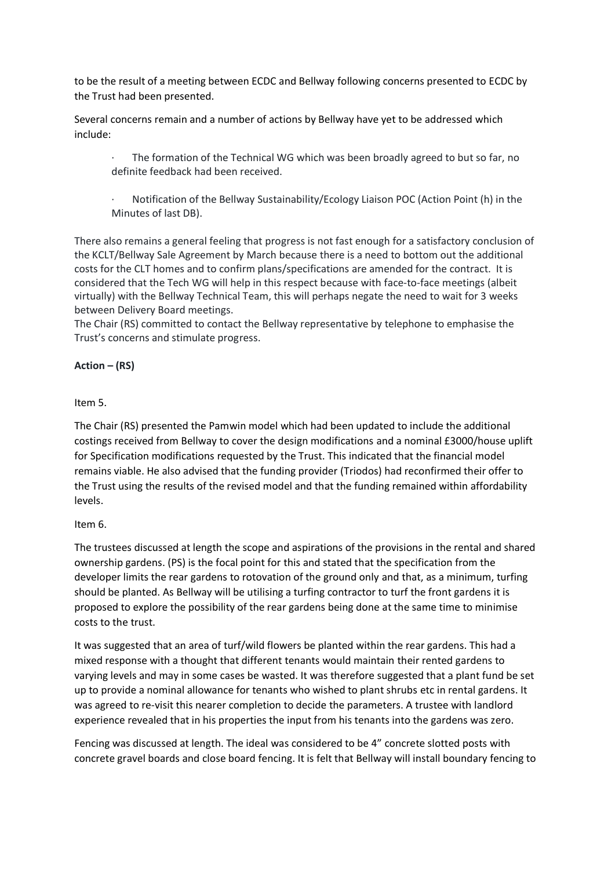to be the result of a meeting between ECDC and Bellway following concerns presented to ECDC by the Trust had been presented.

Several concerns remain and a number of actions by Bellway have yet to be addressed which include:

The formation of the Technical WG which was been broadly agreed to but so far, no definite feedback had been received.

· Notification of the Bellway Sustainability/Ecology Liaison POC (Action Point (h) in the Minutes of last DB).

There also remains a general feeling that progress is not fast enough for a satisfactory conclusion of the KCLT/Bellway Sale Agreement by March because there is a need to bottom out the additional costs for the CLT homes and to confirm plans/specifications are amended for the contract. It is considered that the Tech WG will help in this respect because with face-to-face meetings (albeit virtually) with the Bellway Technical Team, this will perhaps negate the need to wait for 3 weeks between Delivery Board meetings.

The Chair (RS) committed to contact the Bellway representative by telephone to emphasise the Trust's concerns and stimulate progress.

## **Action – (RS)**

## Item 5.

The Chair (RS) presented the Pamwin model which had been updated to include the additional costings received from Bellway to cover the design modifications and a nominal £3000/house uplift for Specification modifications requested by the Trust. This indicated that the financial model remains viable. He also advised that the funding provider (Triodos) had reconfirmed their offer to the Trust using the results of the revised model and that the funding remained within affordability levels.

## Item 6.

The trustees discussed at length the scope and aspirations of the provisions in the rental and shared ownership gardens. (PS) is the focal point for this and stated that the specification from the developer limits the rear gardens to rotovation of the ground only and that, as a minimum, turfing should be planted. As Bellway will be utilising a turfing contractor to turf the front gardens it is proposed to explore the possibility of the rear gardens being done at the same time to minimise costs to the trust.

It was suggested that an area of turf/wild flowers be planted within the rear gardens. This had a mixed response with a thought that different tenants would maintain their rented gardens to varying levels and may in some cases be wasted. It was therefore suggested that a plant fund be set up to provide a nominal allowance for tenants who wished to plant shrubs etc in rental gardens. It was agreed to re-visit this nearer completion to decide the parameters. A trustee with landlord experience revealed that in his properties the input from his tenants into the gardens was zero.

Fencing was discussed at length. The ideal was considered to be 4" concrete slotted posts with concrete gravel boards and close board fencing. It is felt that Bellway will install boundary fencing to